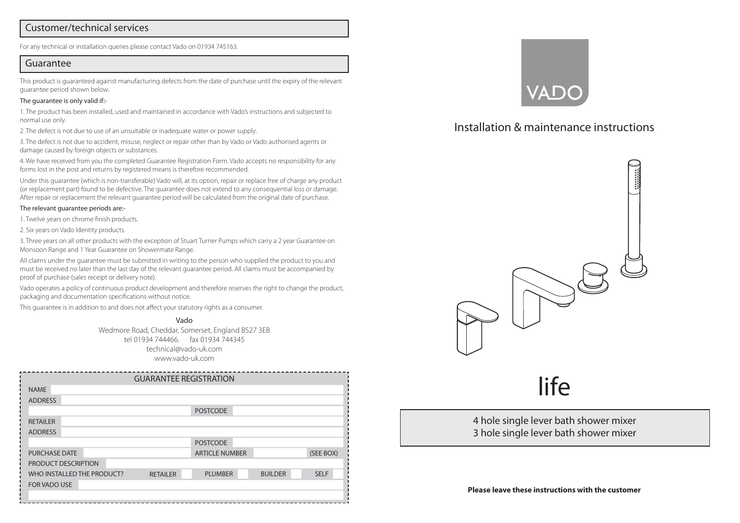#### Customer/technical services

For any technical or installation queries please contact Vado on 01934 745163.

#### Guarantee

This product is guaranteed against manufacturing defects from the date of purchase until the expiry of the relevant guarantee period shown below.

#### The guarantee is only valid if:-

1. The product has been installed, used and maintained in accordance with Vado's instructions and subjected to normal use only.

2. The defect is not due to use of an unsuitable or inadequate water or power supply.

3. The defect is not due to accident, misuse, neglect or repair other than by Vado or Vado authorised agents or damage caused by foreign objects or substances.

4. We have received from you the completed Guarantee Registration Form. Vado accepts no responsibility for any forms lost in the post and returns by registered means is therefore recommended.

Under this guarantee (which is non-transferable) Vado will, at its option, repair or replace free of charge any product (or replacement part) found to be defective. The guarantee does not extend to any consequential loss or damage. After repair or replacement the relevant guarantee period will be calculated from the original date of purchase.

#### The relevant guarantee periods are:-

1. Twelve years on chrome finish products.

2. Six years on Vado Identity products.

3. Three years on all other products with the exception of Stuart Turner Pumps which carry a 2 year Guarantee on Monsoon Range and 1 Year Guarantee on Showermate Range.

All claims under the guarantee must be submitted in writing to the person who supplied the product to you and must be received no later than the last day of the relevant guarantee period. All claims must be accompanied by proof of purchase (sales receipt or delivery note).

Vado operates a policy of continuous product development and therefore reserves the right to change the product, packaging and documentation specifications without notice.

This guarantee is in addition to and does not affect your statutory rights as a consumer.

Vado Wedmore Road, Cheddar, Somerset, England BS27 3EB tel 01934 744466. fax 01934 744345 technical@vado-uk.com www.vado-uk.com

| <b>GUARANTEE REGISTRATION</b> |                 |                 |                       |                |             |
|-------------------------------|-----------------|-----------------|-----------------------|----------------|-------------|
| <b>NAME</b>                   |                 |                 |                       |                |             |
| <b>ADDRESS</b>                |                 |                 |                       |                |             |
|                               | <b>POSTCODE</b> |                 |                       |                |             |
| <b>RETAILER</b>               |                 |                 |                       |                |             |
| <b>ADDRESS</b>                |                 |                 |                       |                |             |
|                               |                 |                 | <b>POSTCODE</b>       |                |             |
| <b>PURCHASE DATE</b>          |                 |                 | <b>ARTICLE NUMBER</b> |                | (SEE BOX)   |
| PRODUCT DESCRIPTION           |                 |                 |                       |                |             |
| WHO INSTALLED THE PRODUCT?    |                 | <b>RETAILER</b> | <b>PLUMBER</b>        | <b>BUILDER</b> | <b>SELF</b> |
| <b>FOR VADO USE</b>           |                 |                 |                       |                |             |
|                               |                 |                 |                       |                |             |



# Installation & maintenance instructions



# life

4 hole single lever bath shower mixer 3 hole single lever bath shower mixer

**Please leave these instructions with the customer**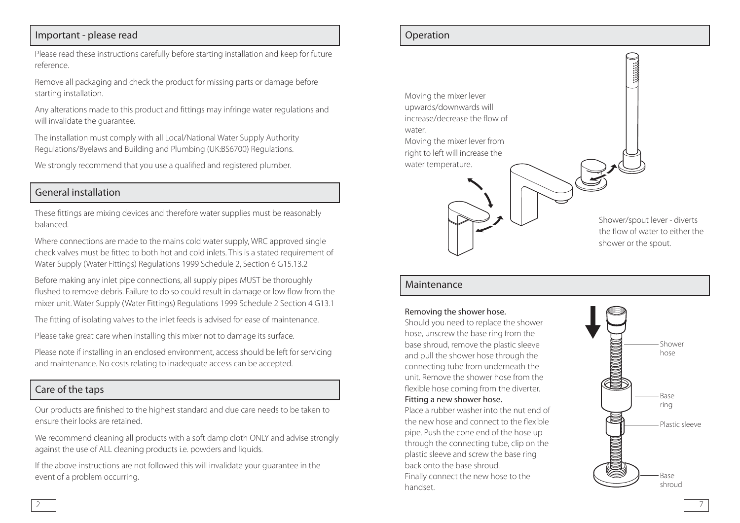# Important - please read

Please read these instructions carefully before starting installation and keep for future reference.

Remove all packaging and check the product for missing parts or damage before starting installation.

Any alterations made to this product and fittings may infringe water regulations and will invalidate the guarantee.

The installation must comply with all Local/National Water Supply Authority Regulations/Byelaws and Building and Plumbing (UK:BS6700) Regulations.

We strongly recommend that you use a qualified and registered plumber.

# General installation

These fittings are mixing devices and therefore water supplies must be reasonably balanced.

Where connections are made to the mains cold water supply, WRC approved single check valves must be fitted to both hot and cold inlets. This is a stated requirement of Water Supply (Water Fittings) Regulations 1999 Schedule 2, Section 6 G15.13.2

Before making any inlet pipe connections, all supply pipes MUST be thoroughly flushed to remove debris. Failure to do so could result in damage or low flow from the mixer unit. Water Supply (Water Fittings) Regulations 1999 Schedule 2 Section 4 G13.1

The fitting of isolating valves to the inlet feeds is advised for ease of maintenance.

Please take great care when installing this mixer not to damage its surface.

Please note if installing in an enclosed environment, access should be left for servicing and maintenance. No costs relating to inadequate access can be accepted.

### Care of the taps

Our products are finished to the highest standard and due care needs to be taken to ensure their looks are retained.

We recommend cleaning all products with a soft damp cloth ONLY and advise strongly against the use of ALL cleaning products i.e. powders and liquids.

If the above instructions are not followed this will invalidate your guarantee in the event of a problem occurring.

#### Operation



#### Maintenance

#### Removing the shower hose.

Should you need to replace the shower hose, unscrew the base ring from the base shroud, remove the plastic sleeve and pull the shower hose through the connecting tube from underneath the unit. Remove the shower hose from the flexible hose coming from the diverter. Fitting a new shower hose.

Place a rubber washer into the nut end of the new hose and connect to the flexible pipe. Push the cone end of the hose up through the connecting tube, clip on the plastic sleeve and screw the base ring back onto the base shroud. Finally connect the new hose to the handset.

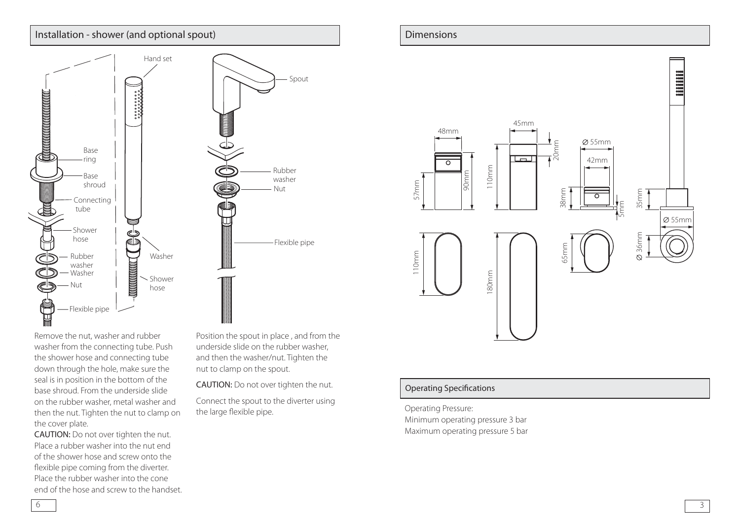# Installation - shower (and optional spout)



Remove the nut, washer and rubber washer from the connecting tube. Push the shower hose and connecting tube down through the hole, make sure the seal is in position in the bottom of the base shroud. From the underside slide on the rubber washer, metal washer and then the nut. Tighten the nut to clamp on the cover plate.

CAUTION: Do not over tighten the nut. Place a rubber washer into the nut end of the shower hose and screw onto the flexible pipe coming from the diverter. Place the rubber washer into the cone end of the hose and screw to the handset. Position the spout in place , and from the underside slide on the rubber washer, and then the washer/nut. Tighten the nut to clamp on the spout.

CAUTION: Do not over tighten the nut.

Connect the spout to the diverter using the large flexible pipe.





#### Operating Specifications

Operating Pressure: Minimum operating pressure 3 bar Maximum operating pressure 5 bar